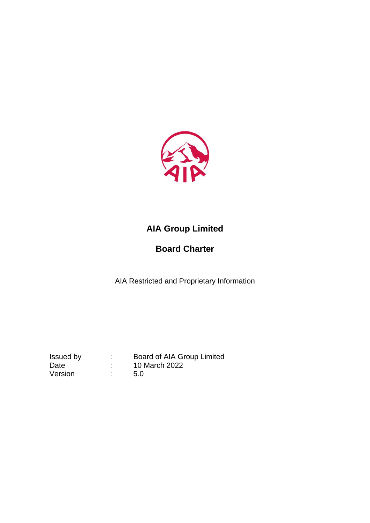

# **AIA Group Limited**

# **Board Charter**

AIA Restricted and Proprietary Information

Version : 5.0

Issued by : Board of AIA Group Limited Date : 10 March 2022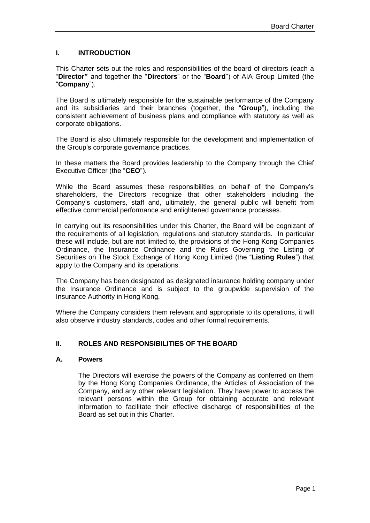# **I. INTRODUCTION**

This Charter sets out the roles and responsibilities of the board of directors (each a "**Director"** and together the "**Directors**" or the "**Board**") of AIA Group Limited (the "**Company**").

The Board is ultimately responsible for the sustainable performance of the Company and its subsidiaries and their branches (together, the "**Group**"), including the consistent achievement of business plans and compliance with statutory as well as corporate obligations.

The Board is also ultimately responsible for the development and implementation of the Group's corporate governance practices.

In these matters the Board provides leadership to the Company through the Chief Executive Officer (the "**CEO**").

While the Board assumes these responsibilities on behalf of the Company's shareholders, the Directors recognize that other stakeholders including the Company's customers, staff and, ultimately, the general public will benefit from effective commercial performance and enlightened governance processes.

In carrying out its responsibilities under this Charter, the Board will be cognizant of the requirements of all legislation, regulations and statutory standards. In particular these will include, but are not limited to, the provisions of the Hong Kong Companies Ordinance, the Insurance Ordinance and the Rules Governing the Listing of Securities on The Stock Exchange of Hong Kong Limited (the "**Listing Rules**") that apply to the Company and its operations.

The Company has been designated as designated insurance holding company under the Insurance Ordinance and is subject to the groupwide supervision of the Insurance Authority in Hong Kong.

Where the Company considers them relevant and appropriate to its operations, it will also observe industry standards, codes and other formal requirements.

## **II. ROLES AND RESPONSIBILITIES OF THE BOARD**

#### **A. Powers**

The Directors will exercise the powers of the Company as conferred on them by the Hong Kong Companies Ordinance, the Articles of Association of the Company, and any other relevant legislation. They have power to access the relevant persons within the Group for obtaining accurate and relevant information to facilitate their effective discharge of responsibilities of the Board as set out in this Charter.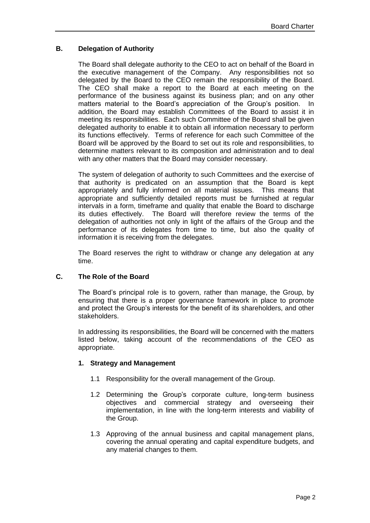# **B. Delegation of Authority**

The Board shall delegate authority to the CEO to act on behalf of the Board in the executive management of the Company. Any responsibilities not so delegated by the Board to the CEO remain the responsibility of the Board. The CEO shall make a report to the Board at each meeting on the performance of the business against its business plan; and on any other matters material to the Board's appreciation of the Group's position. In addition, the Board may establish Committees of the Board to assist it in meeting its responsibilities. Each such Committee of the Board shall be given delegated authority to enable it to obtain all information necessary to perform its functions effectively. Terms of reference for each such Committee of the Board will be approved by the Board to set out its role and responsibilities, to determine matters relevant to its composition and administration and to deal with any other matters that the Board may consider necessary.

The system of delegation of authority to such Committees and the exercise of that authority is predicated on an assumption that the Board is kept appropriately and fully informed on all material issues. This means that appropriate and sufficiently detailed reports must be furnished at regular intervals in a form, timeframe and quality that enable the Board to discharge its duties effectively. The Board will therefore review the terms of the delegation of authorities not only in light of the affairs of the Group and the performance of its delegates from time to time, but also the quality of information it is receiving from the delegates.

The Board reserves the right to withdraw or change any delegation at any time.

## **C. The Role of the Board**

The Board's principal role is to govern, rather than manage, the Group, by ensuring that there is a proper governance framework in place to promote and protect the Group's interests for the benefit of its shareholders, and other stakeholders.

In addressing its responsibilities, the Board will be concerned with the matters listed below, taking account of the recommendations of the CEO as appropriate.

## **1. Strategy and Management**

- 1.1 Responsibility for the overall management of the Group.
- 1.2 Determining the Group's corporate culture, long-term business objectives and commercial strategy and overseeing their implementation, in line with the long-term interests and viability of the Group.
- 1.3 Approving of the annual business and capital management plans, covering the annual operating and capital expenditure budgets, and any material changes to them.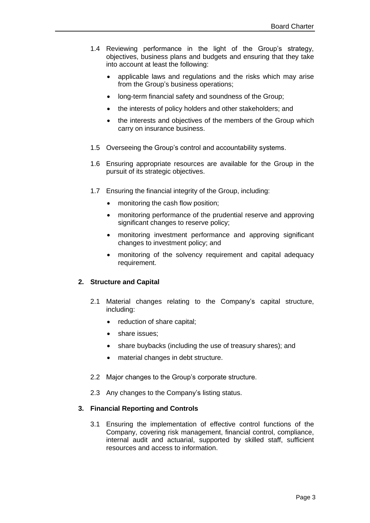- 1.4 Reviewing performance in the light of the Group's strategy, objectives, business plans and budgets and ensuring that they take into account at least the following:
	- applicable laws and regulations and the risks which may arise from the Group's business operations;
	- long-term financial safety and soundness of the Group;
	- the interests of policy holders and other stakeholders; and
	- the interests and objectives of the members of the Group which carry on insurance business.
- 1.5 Overseeing the Group's control and accountability systems.
- 1.6 Ensuring appropriate resources are available for the Group in the pursuit of its strategic objectives.
- 1.7 Ensuring the financial integrity of the Group, including:
	- monitoring the cash flow position;
	- monitoring performance of the prudential reserve and approving significant changes to reserve policy;
	- monitoring investment performance and approving significant changes to investment policy; and
	- monitoring of the solvency requirement and capital adequacy requirement.

## **2. Structure and Capital**

- 2.1 Material changes relating to the Company's capital structure, including:
	- reduction of share capital;
	- share issues:
	- share buybacks (including the use of treasury shares); and
	- material changes in debt structure.
- 2.2 Major changes to the Group's corporate structure.
- 2.3 Any changes to the Company's listing status.

#### **3. Financial Reporting and Controls**

3.1 Ensuring the implementation of effective control functions of the Company, covering risk management, financial control, compliance, internal audit and actuarial, supported by skilled staff, sufficient resources and access to information.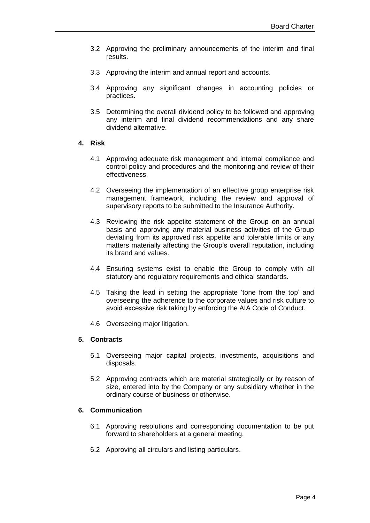- 3.2 Approving the preliminary announcements of the interim and final results.
- 3.3 Approving the interim and annual report and accounts.
- 3.4 Approving any significant changes in accounting policies or practices.
- 3.5 Determining the overall dividend policy to be followed and approving any interim and final dividend recommendations and any share dividend alternative.

#### **4. Risk**

- 4.1 Approving adequate risk management and internal compliance and control policy and procedures and the monitoring and review of their effectiveness.
- 4.2 Overseeing the implementation of an effective group enterprise risk management framework, including the review and approval of supervisory reports to be submitted to the Insurance Authority.
- 4.3 Reviewing the risk appetite statement of the Group on an annual basis and approving any material business activities of the Group deviating from its approved risk appetite and tolerable limits or any matters materially affecting the Group's overall reputation, including its brand and values.
- 4.4 Ensuring systems exist to enable the Group to comply with all statutory and regulatory requirements and ethical standards.
- 4.5 Taking the lead in setting the appropriate 'tone from the top' and overseeing the adherence to the corporate values and risk culture to avoid excessive risk taking by enforcing the AIA Code of Conduct.
- 4.6 Overseeing major litigation.

# **5. Contracts**

- 5.1 Overseeing major capital projects, investments, acquisitions and disposals.
- 5.2 Approving contracts which are material strategically or by reason of size, entered into by the Company or any subsidiary whether in the ordinary course of business or otherwise.

#### **6. Communication**

- 6.1 Approving resolutions and corresponding documentation to be put forward to shareholders at a general meeting.
- 6.2 Approving all circulars and listing particulars.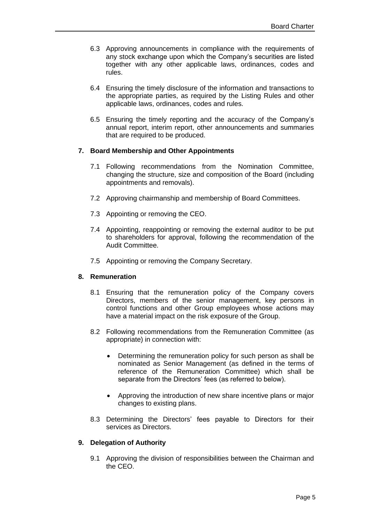- 6.3 Approving announcements in compliance with the requirements of any stock exchange upon which the Company's securities are listed together with any other applicable laws, ordinances, codes and rules.
- 6.4 Ensuring the timely disclosure of the information and transactions to the appropriate parties, as required by the Listing Rules and other applicable laws, ordinances, codes and rules.
- 6.5 Ensuring the timely reporting and the accuracy of the Company's annual report, interim report, other announcements and summaries that are required to be produced.

## **7. Board Membership and Other Appointments**

- 7.1 Following recommendations from the Nomination Committee, changing the structure, size and composition of the Board (including appointments and removals).
- 7.2 Approving chairmanship and membership of Board Committees.
- 7.3 Appointing or removing the CEO.
- 7.4 Appointing, reappointing or removing the external auditor to be put to shareholders for approval, following the recommendation of the Audit Committee.
- 7.5 Appointing or removing the Company Secretary.

#### **8. Remuneration**

- 8.1 Ensuring that the remuneration policy of the Company covers Directors, members of the senior management, key persons in control functions and other Group employees whose actions may have a material impact on the risk exposure of the Group.
- 8.2 Following recommendations from the Remuneration Committee (as appropriate) in connection with:
	- Determining the remuneration policy for such person as shall be nominated as Senior Management (as defined in the terms of reference of the Remuneration Committee) which shall be separate from the Directors' fees (as referred to below).
	- Approving the introduction of new share incentive plans or major changes to existing plans.
- 8.3 Determining the Directors' fees payable to Directors for their services as Directors.

## **9. Delegation of Authority**

9.1 Approving the division of responsibilities between the Chairman and the CEO.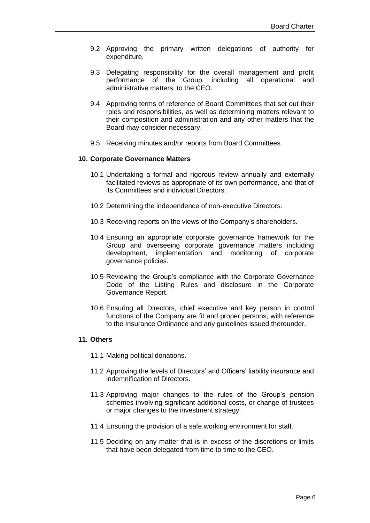- 9.2 Approving the primary written delegations of authority for expenditure.
- 9.3 Delegating responsibility for the overall management and profit performance of the Group, including all operational and administrative matters, to the CEO.
- 9.4 Approving terms of reference of Board Committees that set out their roles and responsibilities, as well as determining matters relevant to their composition and administration and any other matters that the Board may consider necessary.
- 9.5 Receiving minutes and/or reports from Board Committees.

#### **10. Corporate Governance Matters**

- 10.1 Undertaking a formal and rigorous review annually and externally facilitated reviews as appropriate of its own performance, and that of its Committees and individual Directors.
- 10.2 Determining the independence of non-executive Directors.
- 10.3 Receiving reports on the views of the Company's shareholders.
- 10.4 Ensuring an appropriate corporate governance framework for the Group and overseeing corporate governance matters including development, implementation and monitoring of corporate governance policies.
- 10.5 Reviewing the Group's compliance with the Corporate Governance Code of the Listing Rules and disclosure in the Corporate Governance Report.
- 10.6 Ensuring all Directors, chief executive and key person in control functions of the Company are fit and proper persons, with reference to the Insurance Ordinance and any guidelines issued thereunder.

## **11. Others**

- 11.1 Making political donations.
- 11.2 Approving the levels of Directors' and Officers' liability insurance and indemnification of Directors.
- 11.3 Approving major changes to the rules of the Group's pension schemes involving significant additional costs, or change of trustees or major changes to the investment strategy.
- 11.4 Ensuring the provision of a safe working environment for staff.
- 11.5 Deciding on any matter that is in excess of the discretions or limits that have been delegated from time to time to the CEO.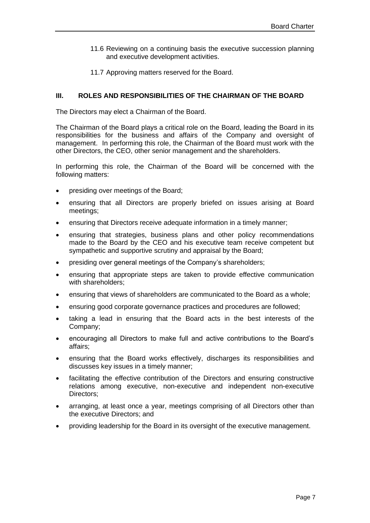- 11.6 Reviewing on a continuing basis the executive succession planning and executive development activities.
- 11.7 Approving matters reserved for the Board.

#### **III. ROLES AND RESPONSIBILITIES OF THE CHAIRMAN OF THE BOARD**

The Directors may elect a Chairman of the Board.

The Chairman of the Board plays a critical role on the Board, leading the Board in its responsibilities for the business and affairs of the Company and oversight of management. In performing this role, the Chairman of the Board must work with the other Directors, the CEO, other senior management and the shareholders.

In performing this role, the Chairman of the Board will be concerned with the following matters:

- presiding over meetings of the Board;
- ensuring that all Directors are properly briefed on issues arising at Board meetings;
- ensuring that Directors receive adequate information in a timely manner;
- ensuring that strategies, business plans and other policy recommendations made to the Board by the CEO and his executive team receive competent but sympathetic and supportive scrutiny and appraisal by the Board;
- presiding over general meetings of the Company's shareholders;
- ensuring that appropriate steps are taken to provide effective communication with shareholders;
- ensuring that views of shareholders are communicated to the Board as a whole;
- ensuring good corporate governance practices and procedures are followed;
- taking a lead in ensuring that the Board acts in the best interests of the Company;
- encouraging all Directors to make full and active contributions to the Board's affairs;
- ensuring that the Board works effectively, discharges its responsibilities and discusses key issues in a timely manner;
- facilitating the effective contribution of the Directors and ensuring constructive relations among executive, non-executive and independent non-executive Directors;
- arranging, at least once a year, meetings comprising of all Directors other than the executive Directors; and
- providing leadership for the Board in its oversight of the executive management.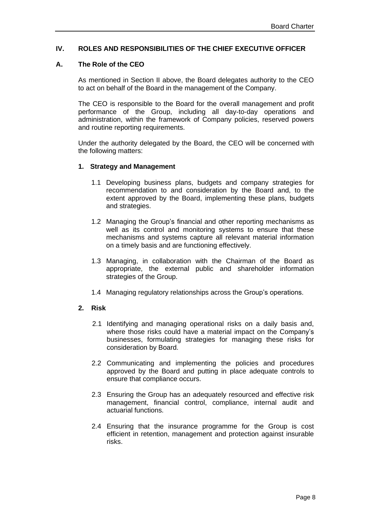## **IV. ROLES AND RESPONSIBILITIES OF THE CHIEF EXECUTIVE OFFICER**

## **A. The Role of the CEO**

As mentioned in Section II above, the Board delegates authority to the CEO to act on behalf of the Board in the management of the Company.

The CEO is responsible to the Board for the overall management and profit performance of the Group, including all day-to-day operations and administration, within the framework of Company policies, reserved powers and routine reporting requirements.

Under the authority delegated by the Board, the CEO will be concerned with the following matters:

#### **1. Strategy and Management**

- 1.1 Developing business plans, budgets and company strategies for recommendation to and consideration by the Board and, to the extent approved by the Board, implementing these plans, budgets and strategies.
- 1.2 Managing the Group's financial and other reporting mechanisms as well as its control and monitoring systems to ensure that these mechanisms and systems capture all relevant material information on a timely basis and are functioning effectively.
- 1.3 Managing, in collaboration with the Chairman of the Board as appropriate, the external public and shareholder information strategies of the Group.
- 1.4 Managing regulatory relationships across the Group's operations.

## **2. Risk**

- 2.1 Identifying and managing operational risks on a daily basis and, where those risks could have a material impact on the Company's businesses, formulating strategies for managing these risks for consideration by Board.
- 2.2 Communicating and implementing the policies and procedures approved by the Board and putting in place adequate controls to ensure that compliance occurs.
- 2.3 Ensuring the Group has an adequately resourced and effective risk management, financial control, compliance, internal audit and actuarial functions.
- 2.4 Ensuring that the insurance programme for the Group is cost efficient in retention, management and protection against insurable risks.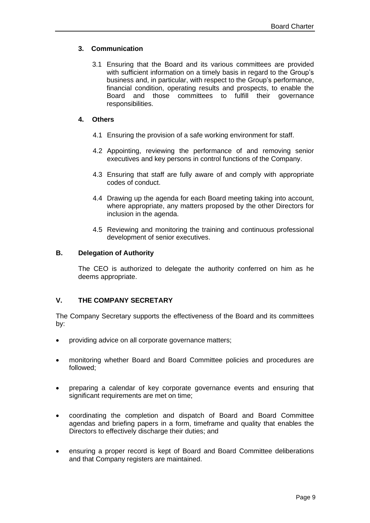# **3. Communication**

3.1 Ensuring that the Board and its various committees are provided with sufficient information on a timely basis in regard to the Group's business and, in particular, with respect to the Group's performance, financial condition, operating results and prospects, to enable the Board and those committees to fulfill their governance responsibilities.

# **4. Others**

- 4.1 Ensuring the provision of a safe working environment for staff.
- 4.2 Appointing, reviewing the performance of and removing senior executives and key persons in control functions of the Company.
- 4.3 Ensuring that staff are fully aware of and comply with appropriate codes of conduct.
- 4.4 Drawing up the agenda for each Board meeting taking into account, where appropriate, any matters proposed by the other Directors for inclusion in the agenda.
- 4.5 Reviewing and monitoring the training and continuous professional development of senior executives.

## **B. Delegation of Authority**

The CEO is authorized to delegate the authority conferred on him as he deems appropriate.

## **V. THE COMPANY SECRETARY**

The Company Secretary supports the effectiveness of the Board and its committees by:

- providing advice on all corporate governance matters;
- monitoring whether Board and Board Committee policies and procedures are followed;
- preparing a calendar of key corporate governance events and ensuring that significant requirements are met on time;
- coordinating the completion and dispatch of Board and Board Committee agendas and briefing papers in a form, timeframe and quality that enables the Directors to effectively discharge their duties; and
- ensuring a proper record is kept of Board and Board Committee deliberations and that Company registers are maintained.